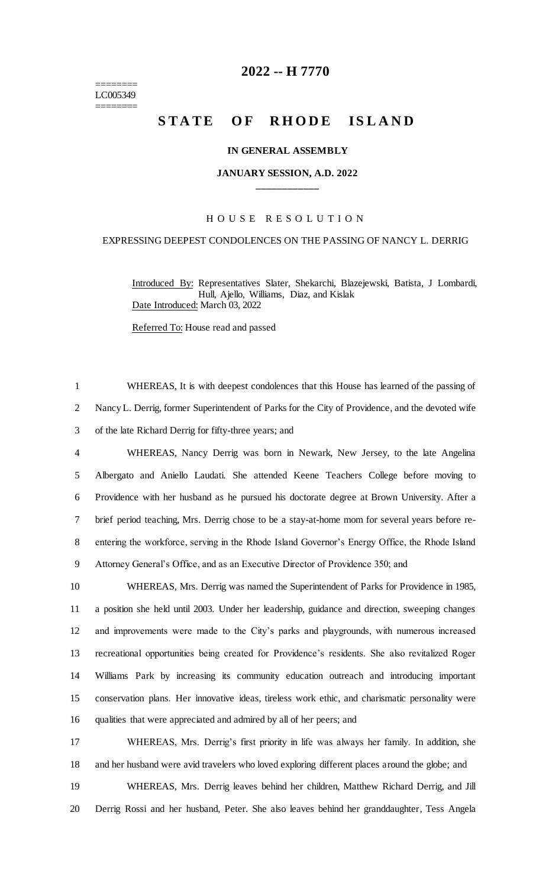======== LC005349 ========

# **-- H 7770**

# STATE OF RHODE ISLAND

## **IN GENERAL ASSEMBLY**

# **JANUARY SESSION, A.D. 2022 \_\_\_\_\_\_\_\_\_\_\_\_**

## H O U S E R E S O L U T I O N

## EXPRESSING DEEPEST CONDOLENCES ON THE PASSING OF NANCY L. DERRIG

Introduced By: Representatives Slater, Shekarchi, Blazejewski, Batista, J Lombardi, Hull, Ajello, Williams, Diaz, and Kislak Date Introduced: March 03, 2022

Referred To: House read and passed

 WHEREAS, It is with deepest condolences that this House has learned of the passing of Nancy L. Derrig, former Superintendent of Parks for the City of Providence, and the devoted wife of the late Richard Derrig for fifty-three years; and WHEREAS, Nancy Derrig was born in Newark, New Jersey, to the late Angelina Albergato and Aniello Laudati. She attended Keene Teachers College before moving to Providence with her husband as he pursued his doctorate degree at Brown University. After a brief period teaching, Mrs. Derrig chose to be a stay-at-home mom for several years before re- entering the workforce, serving in the Rhode Island Governor's Energy Office, the Rhode Island Attorney General's Office, and as an Executive Director of Providence 350; and

 WHEREAS, Mrs. Derrig was named the Superintendent of Parks for Providence in 1985, a position she held until 2003. Under her leadership, guidance and direction, sweeping changes and improvements were made to the City's parks and playgrounds, with numerous increased recreational opportunities being created for Providence's residents. She also revitalized Roger Williams Park by increasing its community education outreach and introducing important conservation plans. Her innovative ideas, tireless work ethic, and charismatic personality were qualities that were appreciated and admired by all of her peers; and

 WHEREAS, Mrs. Derrig's first priority in life was always her family. In addition, she and her husband were avid travelers who loved exploring different places around the globe; and

 WHEREAS, Mrs. Derrig leaves behind her children, Matthew Richard Derrig, and Jill Derrig Rossi and her husband, Peter. She also leaves behind her granddaughter, Tess Angela